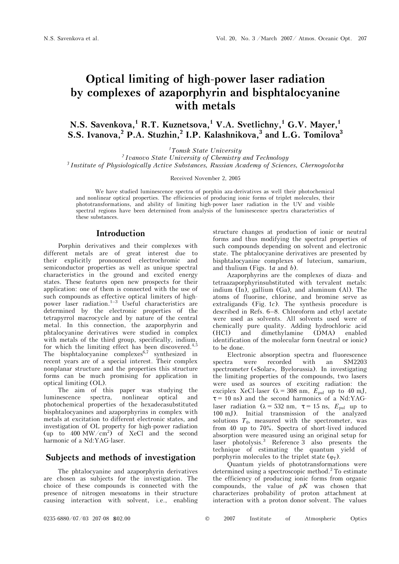# **Optical limiting of high-power laser radiation by complexes of azaporphyrin and bisphtalocyanine with metals**

**N.S. Savenkova,1 R.T. Kuznetsova,<sup>1</sup> V.A. Svetlichny,<sup>1</sup> G.V. Mayer,<sup>1</sup> S.S.** Ivanova,<sup>2</sup> P.A. Stuzhin,<sup>2</sup> I.P. Kalashnikova,<sup>3</sup> and L.G. Tomilova<sup>3</sup>

*1Tomsk State University* 

*2 Ivanovo State University of Chemistry and Technology 3 Institute of Physiologically Active Substances, Russian Academy of Sciences, Chernogolovka* 

Received November 2, 2005

We have studied luminescence spectra of porphin aza-derivatives as well their photochemical and nonlinear optical properties. The efficiencies of producing ionic forms of triplet molecules, their phototransformations, and ability of limiting high-power laser radiation in the UV and visible spectral regions have been determined from analysis of the luminescence spectra characteristics of these substances.

# **Introduction**

Porphin derivatives and their complexes with different metals are of great interest due to their explicitly pronounced electrochromic and semiconductor properties as well as unique spectral characteristics in the ground and excited energy states. These features open new prospects for their application: one of them is connected with the use of such compounds as effective optical limiters of highpower laser radiation.<sup>1–3</sup> Useful characteristics are determined by the electronic properties of the tetrapyrrol macrocycle and by nature of the central metal. In this connection, the azaporphyrin and phtalocyanine derivatives were studied in complex with metals of the third group, specifically, indium, for which the limiting effect has been discovered.<sup>4,5</sup> The bisphtalocyanine complexes $6,7$  synthesized in recent years are of a special interest. Their complex nonplanar structure and the properties this structure forms can be much promising for application in optical limiting (OL).

The aim of this paper was studying the luminescence spectra, nonlinear optical and photochemical properties of the hexadecasubstituted bisphtalocyanines and azaporphyrins in complex with metals at excitation to different electronic states, and investigation of OL property for high-power radiation (up to  $400 \text{ MW/cm}^2$ ) of XeCl and the second harmonic of a Nd:YAG-laser.

# **Subjects and methods of investigation**

The phtalocyanine and azaporphyrin derivatives are chosen as subjects for the investigation. The choice of these compounds is connected with the presence of nitrogen mesoatoms in their structure causing interaction with solvent, i.e., enabling

structure changes at production of ionic or neutral forms and thus modifying the spectral properties of such compounds depending on solvent and electronic state. The phtalocyanine derivatives are presented by bisphtalocyanine complexes of lutecium, samarium, and thulium (Figs. 1*à* and *b*).

Azaporphyrins are the complexes of diaza- and tetraazaporphyrinsubstituted with tervalent metals: indium (In), gallium (Ga), and aluminum (Al). The atoms of fluorine, chlorine, and bromine serve as extraligands (Fig. 1*c*). The synthesis procedure is described in Refs. 6–8. Chloroform and ethyl acetate were used as solvents. All solvents used were of chemically pure quality. Adding hydrochloric acid (HCl) and dimethylamine (DMA) enabled identification of the molecular form (neutral or ionic) to be done.

Electronic absorption spectra and fluorescence spectra were recorded with an SM2203 spectrometer («Solar», Byelorussia). In investigating the limiting properties of the compounds, two lasers were used as sources of exciting radiation: the exciplex XeCl-laser ( $\lambda = 308$  nm,  $E_{\text{pul}}$  up to 40 mJ,  $\tau = 10$  ns) and the second harmonics of a Nd:YAGlaser radiation ( $\lambda = 532$  nm,  $\tau = 15$  ns,  $E_{\text{pul}}$  up to 100 mJ). Initial transmission of the analyzed solutions  $T_0$ , measured with the spectrometer, was from 40 up to 70%. Spectra of short-lived induced absorption were measured using an original setup for laser photolysis.3 Reference 3 also presents the technique of estimating the quantum yield of porphyrin molecules to the triplet state  $(\varphi_T)$ .

Quantum yields of phototransformations were determined using a spectroscopic method.<sup>2</sup> To estimate the efficiency of producing ionic forms from organic compounds, the value of  $pK$  was chosen that characterizes probability of proton attachment at interaction with a proton donor solvent. The values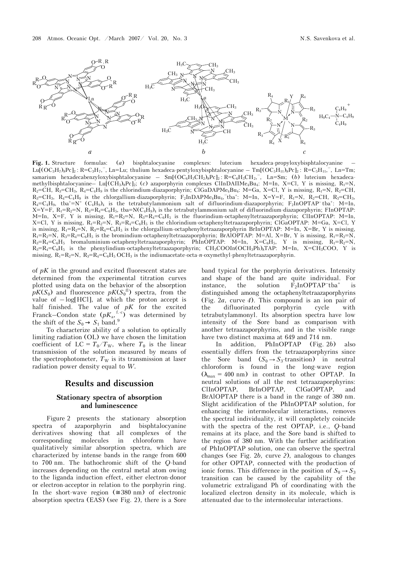

**Fig. 1.** Structure formulas: (*a*) bisphtalocyanine complexes: lutecium hexadeca-propyloxybisphtalocyanine –  $\text{Lu}[(OC_3H_7)_8PC]_2$ : R=C<sub>3</sub>H<sub>7</sub>, , Ln=Lu; thulium hexadeca-pentyloxybisphtalocyanine – Tm[ $(OC_5H_{11})_8PC]_2$ : R=C<sub>3</sub>H<sub>11</sub>, , Ln=Tm; samarium hexadecabenzyloxybisphtalocyanine – Sm[( $OC_6H_3CH_2$ )<sub>8</sub>Pc]<sub>2</sub>: R=C<sub>6</sub>H<sub>3</sub>CH<sub>2</sub>, Ln=Sm; (*b*) lutecium hexadecamethylbisphtalocyanine– Lu[(CH<sub>3</sub>)<sub>8</sub>Pc]<sub>2</sub>; (*c*) azaporphyrin complexes ClInDAIIMe<sub>4</sub>Bu<sub>4</sub>: M=In, X=Cl, Y is missing, R<sub>1</sub>=N<sub>1</sub>  $R_2=CH$ ,  $R_3=CH_3$ ,  $R_4=C_4H_9$  is the chlorindium-diazaporphyrin; ClGaDAPMe<sub>4</sub>Bu<sub>4</sub>: M=Ga, X=Cl, Y is missing, R<sub>1</sub>=N, R<sub>2</sub>=CH,  $R_3 = CH_3$ ,  $R_4 = C_4H_9$  is the chlorgallium-diazaporphyrin;  $F_2InDAPMe_4Bu_4$ ,  $\tau$ ba<sup>+</sup>: M=In, X=Y=F, R<sub>1</sub>=N, R<sub>2</sub>=CH, R<sub>3</sub>=CH<sub>3</sub>,  $R_4 = C_4 H_9$ , tba<sup>+</sup>=N<sup>+</sup>  $(C_4 H_9)$ <sub>4</sub> is the tetrabutylammonium salt of difluorindium-diazaporphyrin; F<sub>2</sub>InOPTAP<sup>-</sup>tba<sup>+</sup>: M=In,  $X=Y=F, R_1=R_2=N, R_3=R_4=C_6H_5$ , tba=N $(C_4H_9)_4$  is the tetrabutylammonium salt of difluorindium-diazaporphyrin; FInOPTAP: M=In, X=F, Y is missing,  $R_1=R_2=N$ ,  $R_3=R_4=C_6H_5$  is the fluorindium-octaphenyltetraazaporphyrin; ClInOPTAP: M=In, X=Cl, Y is missing,  $R_1=R_2=N$ ,  $R_3=R_4=C_6H_5$  is the chlorindium-octaphenyltetraazaporphyrin; ClGaOPTAP: M=Ga, X=Cl, Y is missing,  $R_1=R_2=N$ ,  $R_3=R_4=C_6H_5$  is the chlorgallium-octaphenyltetraazaporphyrin BrInOPTAP: M=In, X=Br, Y is missing,  $R_1=R_2=N$ ,  $R_3=R_4=C_6H_5$  is the bromindium-octaphenyltetraazaporphyrin; BrAIOPTAP: M=Al, X=Br, Y is missing,  $R_1=R_2=N$ ,  $R_3=R_4=C_6H_5$  bromaluminium-octaphenyltetraazaporphyrin; PhInOPTAP: M=In, X=C $_6H_5$ , Y is missing,  $R_1=R_2=N$ ,  $R_3=R_4=C_6H_5$  is the phenylindium-octaphenyltetraazaporphyrin;  $CH_3COOIn(OCH_3Ph)_8TAP$ :  $M=In$ ,  $X=CH_3COO$ , Y is missing,  $R_1=R_2=N$ ,  $R_3=R_4=C_6H_5$  OCH<sub>3</sub> is the indiumacetate-octa-*n*-oxymethyl-phenyltetraazaporphyrin.

of *ðK* in the ground and excited fluorescent states are determined from the experimental titration curves plotted using data on the behavior of the absorption  $pK(S_0)$  and fluorescence  $pK(S_0^{\text{fl}})$  spectra, from the value of  $-\log[HCI]$ , at which the proton accept is half finished. The value of *ðK* for the excited Franck–Condon state  $(pK_a, {}^{f.c})$  was determined by the shift of the  $S_0 \rightarrow S_1$  band.<sup>9</sup>

To characterize ability of a solution to optically limiting radiation (OL) we have chosen the limitation coefficient of  $LC = T_0/T_W$ , where  $T_0$  is the linear transmission of the solution measured by means of the spectrophotometer,  $T_W$  is its transmission at laser radiation power density equal to *W.*

## **Results and discussion**

## **Stationary spectra of absorption and luminescence**

Figure 2 presents the stationary absorption spectra of azaporphyrin and bisphtalocyanine derivatives showing that all complexes of the corresponding molecules in chloroform have qualitatively similar absorption spectra, which are characterized by intense bands in the range from 600 to 700 nm. The bathochromic shift of the *Q*-band increases depending on the central metal atom owing to the liganda induction effect, either electron-donor or electron-acceptor in relation to the porphyrin ring. In the short-wave region ( $\approx 380$  nm) of electronic absorption spectra (EAS) (see Fig. 2), there is a Sore band typical for the porphyrin derivatives. Intensity and shape of the band are quite individual. For instance, the solution  $F_2InOPTAP^-tba^+$  is distinguished among the octaphenyltetraazaporphyrins (Fig. 2*à*, curve *4*). This compound is an ion pair of the difluorinated porphyrin cycle with tetrabutylammonyl. Its absorption spectra have low intensity of the Sore band as comparison with another tetraazaporphyrins, and in the visible range have two distinct maxima at 649 and 714 nm.

In addition, PhInOPTAP (Fig. 2*b*) also essentially differs from the tetraazaporphyrins since the Sore band  $(S_0 \rightarrow S_3$ -transition) in neutral chloroform is found in the long-wave region  $(\lambda_{\text{max}} = 400 \text{ nm})$  in contrast to other OPTAP. In neutral solutions of all the rest tetraazaporphyrins: ClInOPTAP, BrInOPTAP, ClGaOPTAP, and BrAlOPTAP there is a band in the range of 380 nm. Slight acidification of the PhInOPTAP solution, for enhancing the intermolecular interactions, removes the spectral individuality, it will completely coincide with the spectra of the rest OPTAP, i.e., *Q*-band remains at its place, and the Sore band is shifted to the region of 380 nm. With the further acidification of PhInOPTAP solution, one can observe the spectral changes (see Fig. 2*b*, curve *2*), analogous to changes for other OPTAP, connected with the production of ionic forms. This difference in the position of  $S_0 \rightarrow S_3$ transition can be caused by the capability of the volumetric extraligand Ph of coordinating with the localized electron density in its molecule, which is attenuated due to the intermolecular interactions.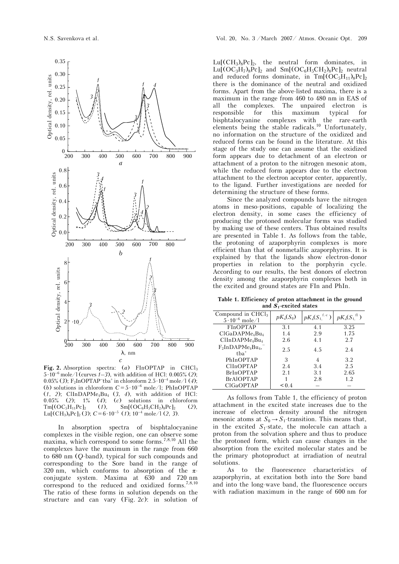

**Fig. 2.** Absorption spectra: (*à*) FInOPTAP in CHCl3  $5 \cdot 10^{-6}$  mole/l (curves  $1-3$ ), with addition of HCl: 0.005% (2); 0.05% (*3*); F2InOPTAP–tba+ in chloroform 2.5 ·10–4 mole/l (*4*); (*b*) solutions in chloroform  $C = 5 \cdot 10^{-6}$  mole/l; PhInOPTAP  $(1, 2)$ ; ClInDAPMe<sub>4</sub>Bu<sub>4</sub>  $(3, 4)$ , with addition of HCl: 0.05% (*2*); 1% (*4*); (*c*) solutions in chloroform  $Tm[(OC_5H_{11}Pc]_2$  (*1*),  $Sm[(OC_6H_5CH_2)_8Pc]_2$  (2), Lu[(CH<sub>3</sub>)<sub>8</sub>Pc]<sub>2</sub> (3);  $C = 6 \cdot 10^{-5}$  (*1*);  $10^{-4}$  mole/1 (2, 3).

In absorption spectra of bisphtalocyanine complexes in the visible region, one can observe some maxima, which correspond to some forms.7,8,10 All the complexes have the maximum in the range from 660 to 680 nm (*Q*-band), typical for such compounds and corresponding to the Sore band in the range of 320 nm, which conforms to absorption of the  $\pi$ conjugate system. Maxima at 630 and 720 nm correspond to the reduced and oxidized forms.<sup>7,8,10</sup> The ratio of these forms in solution depends on the structure and can vary (Fig. 2*c*): in solution of  $Lu[(CH<sub>3</sub>)<sub>8</sub>PC]<sub>2</sub>$ , the neutral form dominates, in  $Lu[(OC<sub>3</sub>H<sub>7</sub>)<sub>8</sub>PC]<sub>2</sub>$  and  $Sm[(OC<sub>6</sub>H<sub>5</sub>CH<sub>2</sub>)<sub>8</sub>PC]<sub>2</sub>$  neutral and reduced forms dominate, in  $Tm[(OC_5H_{11})_8Pc]_2$ there is the dominance of the neutral and oxidized forms. Apart from the above-listed maxima, there is a maximum in the range from 460 to 480 nm in EAS of all the complexes. The unpaired electron is responsible for this maximum typical for bisphtalocyanine complexes with the rare-earth elements being the stable radicals.10 Unfortunately, no information on the structure of the oxidized and reduced forms can be found in the literature. At this stage of the study one can assume that the oxidized form appears due to detachment of an electron or attachment of a proton to the nitrogen mesonic atom, while the reduced form appears due to the electron attachment to the electron acceptor center, apparently, to the ligand. Further investigations are needed for determining the structure of these forms.

Since the analyzed compounds have the nitrogen atoms in meso-positions, capable of localizing the electron density, in some cases the efficiency of producing the protoned molecular forms was studied by making use of these centers. Thus obtained results are presented in Table 1. As follows from the table, the protoning of azaporphyrin complexes is more efficient than that of nonmetallic azaporphyrins. It is explained by that the ligands show electron-donor properties in relation to the porphyrin cycle. According to our results, the best donors of electron density among the azaporphyrin complexes both in the excited and ground states are FIn and PhIn.

**Table 1. Efficiency of proton attachment in the ground and** *S***1-excited states** 

| $pK_{a}(S_{0})$ | $pK_{\rm a}(S_1^{f.-c})$ | $pK_{a}(S_{1.}^{~~\text{fl}})$ |
|-----------------|--------------------------|--------------------------------|
| 3.1             | 4.1                      | 3.25                           |
| 1.4             | 2.9                      | 1.75                           |
| 2.6             | 4.1                      | 2.7                            |
| 2.5             | 4.5                      | 2.4                            |
| 3               |                          | 3.2                            |
| 2.4             | 3.4                      | 2.5                            |
| 2.1             | 3.1                      | 2.65                           |
|                 | 2.8                      | 1.2                            |
| < 0.4           |                          |                                |
|                 |                          |                                |

As follows from Table 1, the efficiency of proton attachment in the excited state increases due to the increase of electron density around the nitrogen mesonic atoms at  $S_0 \rightarrow S_1$ -transition. This means that, in the excited  $S_1$ -state, the molecule can attach a proton from the solvation sphere and thus to produce the protoned form, which can cause changes in the absorption from the excited molecular states and be the primary photoproduct at irradiation of neutral solutions.

As to the fluorescence characteristics of azaporphyrin, at excitation both into the Sore band and into the long-wave band, the fluorescence occurs with radiation maximum in the range of 600 nm for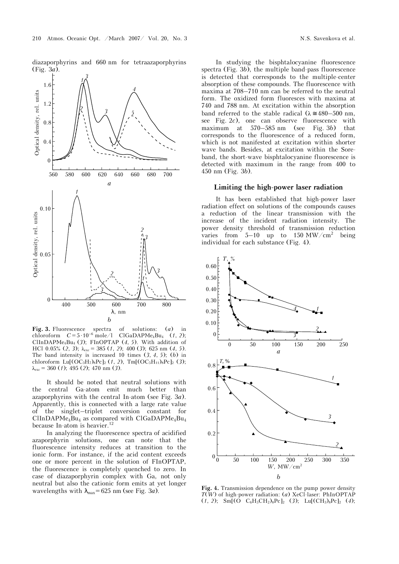diazaporphyrins and 660 nm for tetraazaporphyrins (Fig. 3*à*).



**Fig. 3.** Fluorescence spectra of solutions: (*à*) in chloroform  $C = 5 \cdot 10^{-6}$  mole/l  $CIGaDAPMe<sub>4</sub>Bu<sub>4</sub>$  (1, 2); ClInDAPM $e_4Bu_4$  (3); FInOPTAP (4, 5). With addition of HCl 0.05%  $(2, 3)$ ;  $\lambda_{\text{exc}} = 385$   $(1, 2)$ ; 400  $(3)$ ; 625 nm  $(4, 5)$ . The band intensity is increased 10 times (*3*, *4*, *5*); (*b*) in chloroform Lu[(OC3H7)8Pc]2 (*1*, *2*), Tm[(OC5H11)8Pc]2 (*3*); λexc = 360 (*1*); 495 (*2*); 470 nm (*3*).

It should be noted that neutral solutions with the central Ga-atom emit much better than azaporphyrins with the central In-atom (see Fig. 3*à*). Apparently, this is connected with a large rate value of the singlet–triplet conversion constant for  $ClinDAPMe<sub>4</sub>Bu<sub>4</sub>$  as compared with  $CIGaDAPMe<sub>4</sub>Bu<sub>4</sub>$ because In-atom is heavier.<sup>12</sup>

In analyzing the fluorescence spectra of acidified azaporphyrin solutions, one can note that the fluorescence intensity reduces at transition to the ionic form. For instance, if the acid content exceeds one or more percent in the solution of FInOPTAP, the fluorescence is completely quenched to zero. In case of diazaporphyrin complex with Ga, not only neutral but also the cationic form emits at yet longer wavelengths with  $\lambda_{\text{max}}$  = 625 nm (see Fig. 3*a*).

In studying the bisphtalocyanine fluorescence spectra (Fig. 3*b*), the multiple band-pass fluorescence is detected that corresponds to the multiple-center absorption of these compounds. The fluorescence with maxima at 708–710 nm can be referred to the neutral form. The oxidized form fluoresces with maxima at 740 and 788 nm. At excitation within the absorption band referred to the stable radical ( $\lambda \approx 480-500$  nm, see Fig. 2*c*), one can observe fluorescence with maximum at 570–585 nm (see Fig. 3*b*) that corresponds to the fluorescence of a reduced form, which is not manifested at excitation within shorter wave bands. Besides, at excitation within the Soreband, the short-wave bisphtalocyanine fluorescence is detected with maximum in the range from 400 to 450 nm (Fig. 3*b*).

#### **Limiting the high-power laser radiation**

It has been established that high-power laser radiation effect on solutions of the compounds causes a reduction of the linear transmission with the increase of the incident radiation intensity. The power density threshold of transmission reduction varies from  $5-10$  up to  $150 \text{ MW/cm}^2$  being individual for each substance (Fig. 4).



**Fig. 4.** Transmission dependence on the pump power density *T*(*W*) of high-power radiation: (*à*) XeCl-laser: PhInOPTAP  $(1, 2)$ ; Sm<sub>[</sub>(O C<sub>6</sub>H<sub>5</sub>CH<sub>2</sub>)<sub>8</sub>Pc]<sub>2</sub> (3); Lu[(CH<sub>3</sub>)<sub>8</sub>Pc]<sub>2</sub> (4);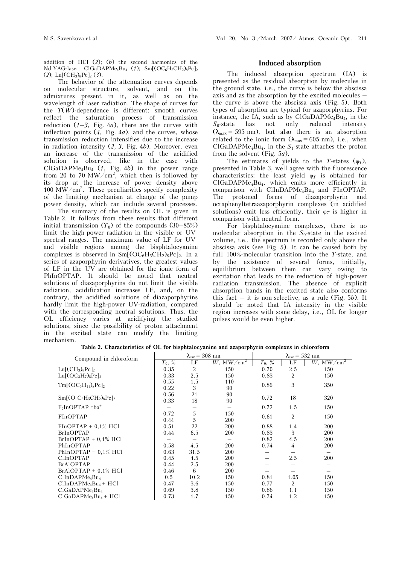addition of  $\text{HCl}$  (2); (b) the second harmonics of the Nd:YAG-laser: ClGaDAPMe<sub>4</sub>Bu<sub>4</sub> (1); Sm[(OC<sub>6</sub>H<sub>5</sub>CH<sub>2</sub>)<sub>8</sub>Pc]<sub>2</sub>  $(2)$ ; Lu[ $(CH_3)_8$ Pc]<sub>2</sub> (3).

The behavior of the attenuation curves depends on molecular structure, solvent, and on the admixtures present in it, as well as on the wavelength of laser radiation. The shape of curves for the  $T(W)$ -dependence is different: smooth curves reflect the saturation process of transmission reduction (*1*–*3*, Fig. 4*à*), there are the curves with inflection points (*4*, Fig. 4*à*), and the curves, whose transmission reduction intensifies due to the increase in radiation intensity (*2*, *3*, Fig. 4*b*). Moreover, even an increase of the transmission of the acidified solution is observed, like in the case with  $ClGaDAPMe<sub>4</sub>Bu<sub>4</sub>$  (*1*, Fig. 4*b*) in the power range from 20 to 70 MW/cm<sup>2</sup>, which then is followed by its drop at the increase of power density above  $100 \text{ MW/cm}^2$ . These peculiarities specify complexity of the limiting mechanism at change of the pump power density, which can include several processes.

 The summary of the results on OL is given in Table 2. It follows from these results that different initial transmission  $(T_0)$  of the compounds  $(30-85%)$ limit the high-power radiation in the visible or UVspectral ranges. The maximum value of LF for UVand visible regions among the bisphtalocyanine complexes is observed in  $\text{Sm}[(OC_6H_5CH_2)_8PC]_2$ . In a series of azaporphyrin derivatives, the greatest values of LF in the UV are obtained for the ionic form of PhInOPTAP. It should be noted that neutral solutions of diazaporphyrins do not limit the visible radiation, acidification increases LF, and, on the contrary, the acidified solutions of diazaporphyrins hardly limit the high-power UV-radiation, compared with the corresponding neutral solutions. Thus, the OL efficiency varies at acidifying the studied solutions, since the possibility of proton attachment in the excited state can modify the limiting mechanism.

#### **Induced absorption**

The induced absorption spectrum (IA) is presented as the residual absorption by molecules in the ground state, i.e., the curve is below the abscissa axis and as the absorption by the excited molecules – the curve is above the abscissa axis (Fig. 5). Both types of absorption are typical for azaporphyrins. For instance, the IA, such as by  $C1GaDAPMe<sub>4</sub>Bu<sub>4</sub>$ , in the *S*0-state has not only reduced intensity  $(\lambda_{\text{max}} = 595 \text{ nm})$ , but also there is an absorption related to the ionic form  $(\lambda_{\text{max}} = 605 \text{ nm})$ , i.e., when  $CIGaDAPMe<sub>4</sub>Bu<sub>4</sub>$ , in the  $S<sub>1</sub>$ -state attaches the proton from the solvent (Fig. 5*à*).

The estimates of yields to the *T*-states ( $\varphi_T$ ), presented in Table 3, well agree with the fluorescence characteristics: the least yield  $\varphi_T$  is obtained for ClGaDAPMe4Bu4, which emits more efficiently in comparison with  $CInDAPMe<sub>4</sub>Bu<sub>4</sub>$  and  $FInOPTAP$ . The protoned forms of diazaporphyrin and octaphenyltetraazaporphyrin complexes (in acidified solutions) emit less efficiently, their  $\varphi_T$  is higher in comparison with neutral form.

For bisphtalocyanine complexes, there is no molecular absorption in the *S*0-state in the excited volume, i.e., the spectrum is recorded only above the abscissa axis (see Fig. 5). It can be caused both by full 100%-molecular transition into the *T*-state, and by the existence of several forms, initially, equilibrium between them can vary owing to excitation that leads to the reduction of high-power radiation transmission. The absence of explicit absorption bands in the excited state also conforms this fact – it is non-selective, as a rule (Fig. 5*b*). It should be noted that IA intensity in the visible region increases with some delay, i.e., OL for longer pulses would be even higher.

| Compound in chloroform                  | $\lambda_{\rm exc} = 308$ nm |                |                                          | $\lambda_{\rm exc}$ = 532 nm |                |                      |
|-----------------------------------------|------------------------------|----------------|------------------------------------------|------------------------------|----------------|----------------------|
|                                         | $T_0$ , %                    | LF             | $W$ , MW $\overline{\sqrt{\text{cm}^2}}$ | $T_0$ , %                    | LF             | $W$ , MW/ $\rm cm^2$ |
| $Lu[(CH3)8Pc]2$                         | 0.35                         | $\overline{2}$ | 150                                      | 0.70                         | 2.5            | 150                  |
| $Lu[(OC3H7)8Pc]2$                       | 0.33                         | 2.5            | 150                                      | 0.83                         | 2              | 150                  |
| $Tm[(OC_5H_{11})_8Pc]_2$                | 0.55                         | 1.5            | 110                                      | 0.86                         | 3              | 350                  |
|                                         | 0.22                         | 3              | 90                                       |                              |                |                      |
| $Sm[(O C6H5CH2)8PC]_2$                  | 0.56                         | 21             | 90                                       | 0.72                         | 18             | 320                  |
|                                         | 0.33                         | 18             | 90                                       |                              |                |                      |
| $F_2InOPTAP^-tba^+$                     |                              |                |                                          | 0.72                         | 1.5            | 150                  |
| FInOPTAP                                | 0.72                         | 5              | 150                                      | 0.61                         | 2              | 150                  |
|                                         | 0.44                         | 5              | 200                                      |                              |                |                      |
| $FInOPTAP + 0.1\% HCl$                  | 0.51                         | 22             | 200                                      | 0.88                         | 1.4            | 200                  |
| <b>BrInOPTAP</b>                        | 0.44                         | 6.5            | 200                                      | 0.83                         | 3              | 200                  |
| $BrInOPTAP + 0.1\% HCl$                 |                              |                |                                          | 0.82                         | 4.5            | <b>200</b>           |
| PhInOPTAP                               | 0.58                         | 4.5            | 200                                      | 0.74                         | $\overline{4}$ | 200                  |
| $PhInOPTAP + 0.1\%$ HCl                 | 0.63                         | 31.5           | 200                                      |                              |                |                      |
| ClInOPTAP                               | 0.45                         | 4.5            | 200                                      |                              | 2.5            | 200                  |
| <b>BrAlOPTAP</b>                        | 0.44                         | 2.5            | 200                                      |                              |                |                      |
| $BrAlOPTAP + 0.1\% HCl$                 | 0.46                         | 6              | 200                                      |                              |                |                      |
| $C$ IInDAPM $e_4$ Bu <sub>4</sub>       | 0.5                          | 10.2           | 150                                      | 0.81                         | 1.05           | 150                  |
| $C$ IInDAPM $e_4$ Bu <sub>4</sub> + HCl | 0.47                         | 3.6            | 150                                      | 0.77                         | 2              | 150                  |
| ClGaDAPMe <sub>4</sub> Bu <sub>4</sub>  | 0.69                         | 3.8            | 150                                      | 0.86                         | 1.1            | 150                  |
| $ClGaDAPMe4Bu4 + HCl$                   | 0.73                         | 1.7            | 150                                      | 0.74                         | 1.2            | 150                  |

**Table 2. Characteristics of OL for bisphtalocyanine and azaporphyrin complexes in chloroform**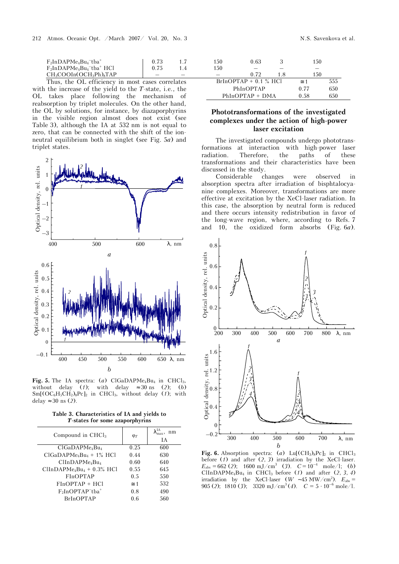| $F_2InDAPMe4Bu4-tba+$     |     | .50 | ).63 | 150 |
|---------------------------|-----|-----|------|-----|
| $F_2InDAPMe4Bu4-tba+ HCl$ |     | 150 |      | $-$ |
| $CH_3COOIn(OCH_3Ph)_8TAP$ | $-$ |     |      | 150 |
|                           |     |     |      |     |

Thus, the OL efficiency in most cases correlates with the increase of the yield to the *T*-state, i.e., the OL takes place following the mechanism of reabsorption by triplet molecules. On the other hand, the OL by solutions, for instance, by diazaporphyrins in the visible region almost does not exist (see Table 3), although the IA at 532 nm is not equal to zero, that can be connected with the shift of the ionneutral equilibrium both in singlet (see Fig. 5*à*) and triplet states.



Fig. 5. The IA spectra: (*a*) ClGaDAPMe<sub>4</sub>Bu<sub>4</sub> in CHCl<sub>3</sub>, without delay (*1*); with delay  $\approx 30$  ns (2); (*b*)  $Sm[(OC_6H_5CH_2)_8PC]_2$  in CHCl<sub>3</sub>, without delay (1); with delay ≈ 30 ns (*2*).

| Table 3. Characteristics of IA and yields to |  |
|----------------------------------------------|--|
| T-states for some azaporphyrins              |  |

| Compound in $CHCl3$                    | $\mathfrak{o}_T$ | nm<br>IΑ |
|----------------------------------------|------------------|----------|
| ClGaDAPMe <sub>4</sub> Bu <sub>4</sub> | 0.25             | 600      |
| $ClGaDAPMe4Bu4 + 1% HCl$               | 0.44             | 630      |
| $C$ InDAPM $e_4$ Bu <sub>4</sub>       | 0.60             | 640      |
| $C$ IInDAPM $e_4Bu_4 + 0.3%$ HCl       | 0.55             | 645      |
| FInOPTAP                               | 0.5              | 550      |
| $FInOPTAP + HCl$                       | $\approx$ 1      | 532      |
| $F_2InOPTAP^-tba^+$                    | 0.8              | 490      |
| <b>BrInOPTAP</b>                       | 06               | 560      |

| 150 | 0.63                    |    | 150         |     |
|-----|-------------------------|----|-------------|-----|
| 150 |                         |    |             |     |
|     | 0.72                    | 18 | 150         |     |
|     | $BrInOPTAP + 0.1 % HCl$ |    | $\approx$ 1 | 555 |
|     | PhInOPTAP               |    | 0.77        | 650 |
|     | $PhInOPTAP + DMA$       |    | 0.58        | 650 |

## **Phototransformations of the investigated complexes under the action of high-power laser excitation**

The investigated compounds undergo phototransformations at interaction with high-power laser radiation. Therefore, the paths of these transformations and their characteristics have been discussed in the study.

Considerable changes were observed in absorption spectra after irradiation of bisphtalocyanine complexes. Moreover, transformations are more effective at excitation by the XeCl-laser radiation. In this case, the absorption by neutral form is reduced and there occurs intensity redistribution in favor of the long-wave region, where, according to Refs. 7 and 10, the oxidized form absorbs (Fig. 6*à*).



**Fig. 6.** Absorption spectra: (*a*) Lu $\text{[CH}_3\text{)}_8\text{Pc}_2$  in CHCl<sub>3</sub> before (*1*) and after (*2*, *3*) irradiation by the XeCl-laser.  $E_{\text{abs}} = 662$  (2); 1600 mJ/cm<sup>3</sup> (3).  $C = 10^{-4}$  mole/l; (*b*) ClInDAPMe<sub>4</sub>Bu<sub>4</sub> in CHCl<sub>3</sub> before (*1*) and after (*2*, *3*, *4*) irradiation by the XeCl-laser (*W* ~45 MW/cm<sup>2</sup>).  $E_{\text{abs}} =$ 905 (2); 1810 (3); 3320 mJ/cm<sup>3</sup> (4).  $C = 5 \cdot 10^{-6}$  mole/l.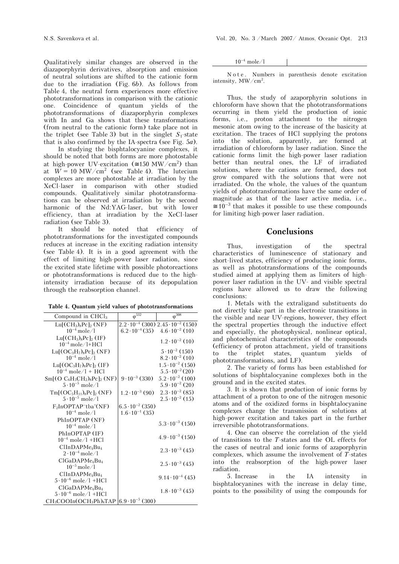Qualitatively similar changes are observed in the diazaporphyrin derivatives, absorption and emission of neutral solutions are shifted to the cationic form due to the irradiation (Fig. 6*b*). As follows from Table 4, the neutral form experiences more effective phototransformations in comparison with the cationic one. Coincidence of quantum yields of the phototransformations of diazaporphyrin complexes with In and Ga shows that these transformations (from neutral to the cationic form) take place not in the triplet (see Table 3) but in the singlet  $S_1$ -state that is also confirmed by the IA-spectra (see Fig. 5*à*).

 In studying the bisphtalocyanine complexes, it should be noted that both forms are more photostable at high-power UV-excitation ( $\approx 150 \text{ MW/cm}^2$ ) than at  $W = 10 \text{ MW/cm}^2$  (see Table 4). The lutecium complexes are more photostable at irradiation by the XeCl-laser in comparison with other studied compounds. Qualitatively similar phototransformations can be observed at irradiation by the second harmonic of the Nd:YAG-laser, but with lower efficiency, than at irradiation by the XeCl-laser radiation (see Table 3).

It should be noted that efficiency of phototransformations for the investigated compounds reduces at increase in the exciting radiation intensity (see Table 4). It is in a good agreement with the effect of limiting high-power laser radiation, since the excited state lifetime with possible photoreactions or phototransformations is reduced due to the highintensity irradiation because of its depopulation through the reabsorption channel.

|  |  | Table 4. Quantum yield values of phototransformations |
|--|--|-------------------------------------------------------|
|--|--|-------------------------------------------------------|

| Compound in $CHCl3$                    | $\varphi$ <sup>532</sup>  | $\phi^{308}$                                         |
|----------------------------------------|---------------------------|------------------------------------------------------|
| $Lu[(CH_3)_8Pc]$ <sub>2</sub> (NF)     |                           | $2.2 \cdot 10^{-4}$ (300) $2.45 \cdot 10^{-2}$ (150) |
| $10^{-4}$ mole $/1$                    |                           | $6.2 \cdot 10^{-4}$ (35) $4.6 \cdot 10^{-2}$ (10)    |
| Lu[ $(CH_3)_8$ Pc] <sub>2</sub> (IF)   |                           | $1.2 \cdot 10^{-2}$ (10)                             |
| $10^{-4}$ mole/l+HCl                   |                           |                                                      |
| $Lu[(OC3H7)8Pc]2 (NF)$                 |                           | $5 \cdot 10^{-2}$ (150)                              |
| $10^{-4}$ mole/1                       |                           | $8.2 \cdot 10^{-2}$ (10)                             |
| Lu $[ (OC3H7)8PC2 (IF)$                |                           | $1.5 \cdot 10^{-2}$ (150)                            |
| $10^{-4}$ mole/1 + HCl                 |                           | $5.5 \cdot 10^{-2} (20)$                             |
| $\rm Sm[(O~C_6H_5CH_2)_8Pc]_2(NF)$     | $9 \cdot 10^{-3}$ (330)   | $5.2 \cdot 10^{-2}$ (100)                            |
| $5 \cdot 10^{-5}$ mole/1               |                           | $5.9 \cdot 10^{-2}$ (20)                             |
| $Tm[(OC_5H_{11})_8Pc]_2(NF)$           | $1.2 \cdot 10^{-3}$ (90)  | $2.3 \cdot 10^{-2}$ (85)                             |
| $5 \cdot 10^{-5}$ mole/1               |                           | $2.5 \cdot 10^{-2}$ (15)                             |
| $F_2InOPTAP^-tba^+(NF)$                | $6.5 \cdot 10^{-2}$ (350) |                                                      |
| $10^{-4}$ mole/1                       | $1.6 \cdot 10^{-1}$ (35)  |                                                      |
| PhInOPTAP (NF)                         |                           | $5.3 \cdot 10^{-3}$ (150)                            |
| $10^{-4}$ mole/1                       |                           |                                                      |
| PhInOPTAP (IF)                         |                           | $4.9 \cdot 10^{-3}$ (150)                            |
| $10^{-4}$ mole/1 +HCl                  |                           |                                                      |
| $C$ IInDAPM $e_4$ Bu <sub>4</sub>      |                           | $2.3 \cdot 10^{-3}$ (45)                             |
| $2 \cdot 10^{-4}$ mole/1               |                           |                                                      |
| ClGaDAPMe <sub>4</sub> Bu <sub>4</sub> |                           | $2.5 \cdot 10^{-3}$ (45)                             |
| $10^{-5}$ mole/1                       |                           |                                                      |
| ClInDAPMe <sub>4</sub> Bu <sub>4</sub> |                           | $9.14 \cdot 10^{-4}$ (45)                            |
| $5 \cdot 10^{-6}$ mole/1 +HCl          |                           |                                                      |
| ClGaDAPMe <sub>4</sub> Bu <sub>4</sub> |                           | $1.8 \cdot 10^{-3}$ (45)                             |
| $5 \cdot 10^{-6}$ mole/1 +HCl          |                           |                                                      |
| $CH_3COOIn(OCH_3Ph)_8TAP$              | $6.9 \cdot 10^{-5}$ (300) |                                                      |

 $10^{-4}$  mole/1

N o t e . Numbers in parenthesis denote excitation intensity,  $MW/cm<sup>2</sup>$ .

Thus, the study of azaporphyrin solutions in chloroform have shown that the phototransformations occurring in them yield the production of ionic forms, i.e., proton attachment to the nitrogen mesonic atom owing to the increase of the basicity at excitation. The traces of HCl supplying the protons into the solution, apparently, are formed at irradiation of chloroform by laser radiation. Since the cationic forms limit the high-power laser radiation better than neutral ones, the LF of irradiated solutions, where the cations are formed, does not grow compared with the solutions that were not irradiated. On the whole, the values of the quantum yields of phototransformations have the same order of magnitude as that of the laser active media, i.e.,  $\approx 10^{-3}$  that makes it possible to use these compounds for limiting high-power laser radiation.

## **Conclusions**

Thus, investigation of the spectral characteristics of luminescence of stationary and short-lived states, efficiency of producing ionic forms, as well as phototransformations of the compounds studied aimed at applying them as limiters of highpower laser radiation in the UV- and visible spectral regions have allowed us to draw the following conclusions:

1. Metals with the extraligand substituents do not directly take part in the electronic transitions in the visible and near UV-regions, however, they effect the spectral properties through the inductive effect and especially, the photophysical, nonlinear optical, and photochemical characteristics of the compounds (efficiency of proton attachment, yield of transitions to the triplet states, quantum yields of phototransformations, and LF).

2. The variety of forms has been established for solutions of bisphtalocyanine complexes both in the ground and in the excited states.

3. It is shown that production of ionic forms by attachment of a proton to one of the nitrogen mesonic atoms and of the oxidized forms in bisphtalocyanine complexes change the transmission of solutions at high-power excitation and takes part in the further irreversible phototransformations.

4. One can observe the correlation of the yield of transitions to the *T*-states and the OL effects for the cases of neutral and ionic forms of azaporphyrin complexes, which assume the involvement of T-states into the reabsorption of the high-power laser radiation.

5. Increase in the IA intensity in bisphtalocyanines with the increase in delay time, points to the possibility of using the compounds for